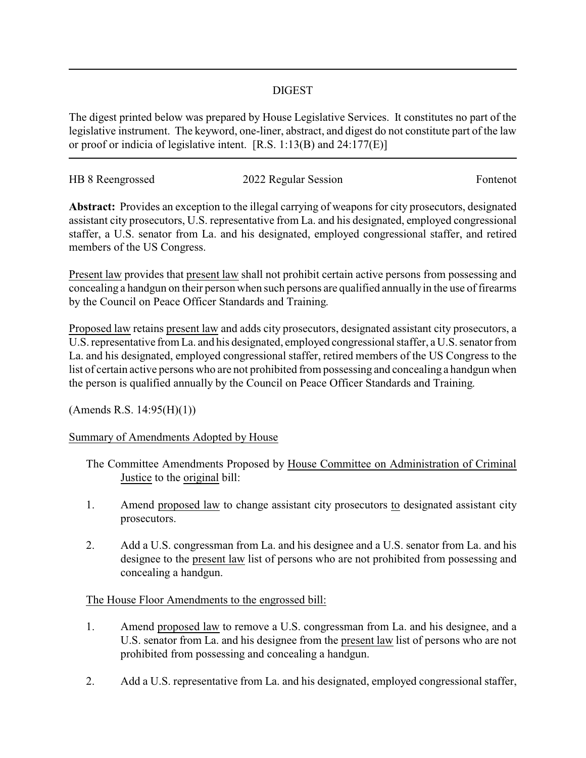## DIGEST

The digest printed below was prepared by House Legislative Services. It constitutes no part of the legislative instrument. The keyword, one-liner, abstract, and digest do not constitute part of the law or proof or indicia of legislative intent. [R.S. 1:13(B) and 24:177(E)]

| HB 8 Reengrossed | 2022 Regular Session | Fontenot |
|------------------|----------------------|----------|
|                  |                      |          |

**Abstract:** Provides an exception to the illegal carrying of weapons for city prosecutors, designated assistant city prosecutors, U.S. representative from La. and his designated, employed congressional staffer, a U.S. senator from La. and his designated, employed congressional staffer, and retired members of the US Congress.

Present law provides that present law shall not prohibit certain active persons from possessing and concealing a handgun on their person when such persons are qualified annually in the use of firearms by the Council on Peace Officer Standards and Training.

Proposed law retains present law and adds city prosecutors, designated assistant city prosecutors, a U.S. representative from La. and his designated, employed congressional staffer, a U.S. senator from La. and his designated, employed congressional staffer, retired members of the US Congress to the list of certain active persons who are not prohibited from possessing and concealing a handgun when the person is qualified annually by the Council on Peace Officer Standards and Training.

(Amends R.S. 14:95(H)(1))

## Summary of Amendments Adopted by House

- The Committee Amendments Proposed by House Committee on Administration of Criminal Justice to the original bill:
- 1. Amend proposed law to change assistant city prosecutors to designated assistant city prosecutors.
- 2. Add a U.S. congressman from La. and his designee and a U.S. senator from La. and his designee to the present law list of persons who are not prohibited from possessing and concealing a handgun.

## The House Floor Amendments to the engrossed bill:

- 1. Amend proposed law to remove a U.S. congressman from La. and his designee, and a U.S. senator from La. and his designee from the present law list of persons who are not prohibited from possessing and concealing a handgun.
- 2. Add a U.S. representative from La. and his designated, employed congressional staffer,